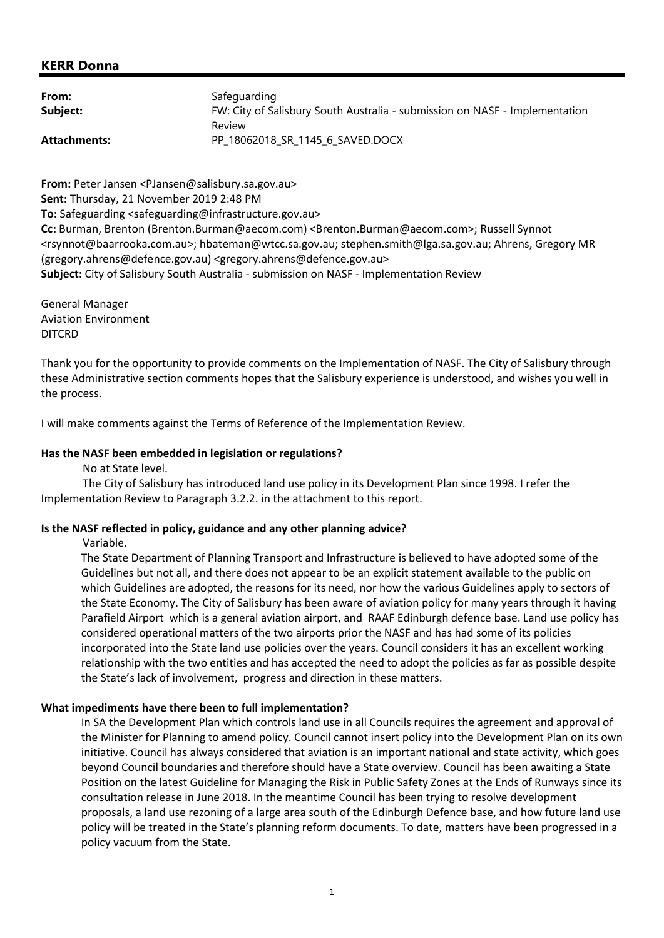### KERR Donna

| From:               | Safeguarding                                                                |
|---------------------|-----------------------------------------------------------------------------|
| Subject:            | FW: City of Salisbury South Australia - submission on NASF - Implementation |
| <b>Attachments:</b> | Review<br>PP 18062018_SR_1145_6_SAVED.DOCX                                  |

From: Peter Jansen <PJansen@salisbury.sa.gov.au>

Sent: Thursday, 21 November 2019 2:48 PM

To: Safeguarding <safeguarding@infrastructure.gov.au>

Cc: Burman, Brenton (Brenton.Burman@aecom.com) <Brenton.Burman@aecom.com>; Russell Synnot <rsynnot@baarrooka.com.au>; hbateman@wtcc.sa.gov.au; stephen.smith@lga.sa.gov.au; Ahrens, Gregory MR (gregory.ahrens@defence.gov.au) <gregory.ahrens@defence.gov.au>

Subject: City of Salisbury South Australia - submission on NASF - Implementation Review

General Manager Aviation Environment DITCRD

Thank you for the opportunity to provide comments on the Implementation of NASF. The City of Salisbury through these Administrative section comments hopes that the Salisbury experience is understood, and wishes you well in the process.

I will make comments against the Terms of Reference of the Implementation Review.

#### Has the NASF been embedded in legislation or regulations?

No at State level.

 The City of Salisbury has introduced land use policy in its Development Plan since 1998. I refer the Implementation Review to Paragraph 3.2.2. in the attachment to this report.

#### Is the NASF reflected in policy, guidance and any other planning advice?

Variable.

The State Department of Planning Transport and Infrastructure is believed to have adopted some of the Guidelines but not all, and there does not appear to be an explicit statement available to the public on which Guidelines are adopted, the reasons for its need, nor how the various Guidelines apply to sectors of the State Economy. The City of Salisbury has been aware of aviation policy for many years through it having Parafield Airport which is a general aviation airport, and RAAF Edinburgh defence base. Land use policy has considered operational matters of the two airports prior the NASF and has had some of its policies incorporated into the State land use policies over the years. Council considers it has an excellent working relationship with the two entities and has accepted the need to adopt the policies as far as possible despite the State's lack of involvement, progress and direction in these matters.

#### What impediments have there been to full implementation?

In SA the Development Plan which controls land use in all Councils requires the agreement and approval of the Minister for Planning to amend policy. Council cannot insert policy into the Development Plan on its own initiative. Council has always considered that aviation is an important national and state activity, which goes beyond Council boundaries and therefore should have a State overview. Council has been awaiting a State Position on the latest Guideline for Managing the Risk in Public Safety Zones at the Ends of Runways since its consultation release in June 2018. In the meantime Council has been trying to resolve development proposals, a land use rezoning of a large area south of the Edinburgh Defence base, and how future land use policy will be treated in the State's planning reform documents. To date, matters have been progressed in a policy vacuum from the State.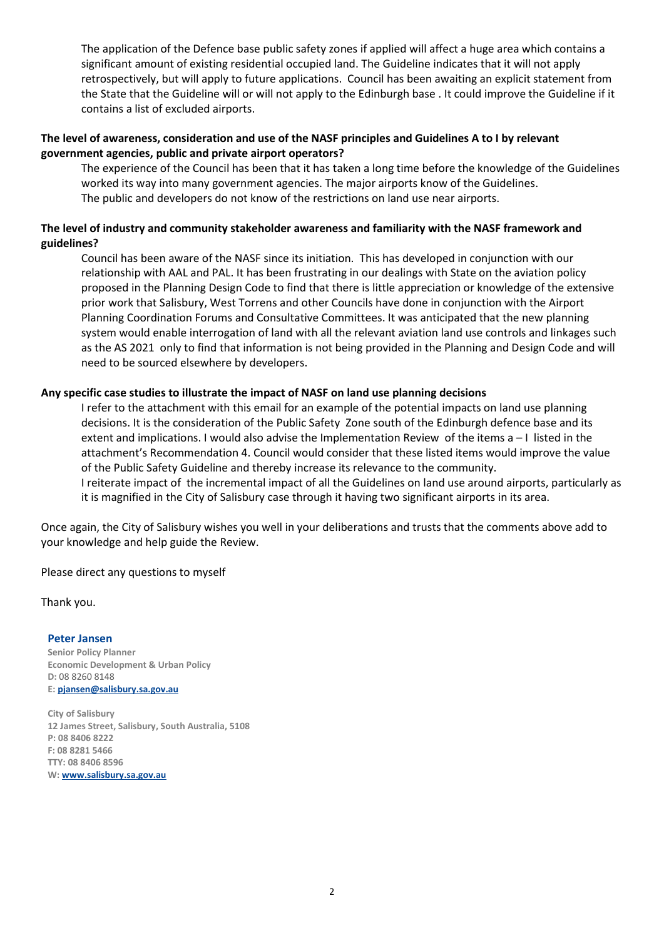The application of the Defence base public safety zones if applied will affect a huge area which contains a significant amount of existing residential occupied land. The Guideline indicates that it will not apply retrospectively, but will apply to future applications. Council has been awaiting an explicit statement from the State that the Guideline will or will not apply to the Edinburgh base . It could improve the Guideline if it contains a list of excluded airports.

### The level of awareness, consideration and use of the NASF principles and Guidelines A to I by relevant government agencies, public and private airport operators?

The experience of the Council has been that it has taken a long time before the knowledge of the Guidelines worked its way into many government agencies. The major airports know of the Guidelines. The public and developers do not know of the restrictions on land use near airports.

### The level of industry and community stakeholder awareness and familiarity with the NASF framework and guidelines?

Council has been aware of the NASF since its initiation. This has developed in conjunction with our relationship with AAL and PAL. It has been frustrating in our dealings with State on the aviation policy proposed in the Planning Design Code to find that there is little appreciation or knowledge of the extensive prior work that Salisbury, West Torrens and other Councils have done in conjunction with the Airport Planning Coordination Forums and Consultative Committees. It was anticipated that the new planning system would enable interrogation of land with all the relevant aviation land use controls and linkages such as the AS 2021 only to find that information is not being provided in the Planning and Design Code and will need to be sourced elsewhere by developers.

### Any specific case studies to illustrate the impact of NASF on land use planning decisions

I refer to the attachment with this email for an example of the potential impacts on land use planning decisions. It is the consideration of the Public Safety Zone south of the Edinburgh defence base and its extent and implications. I would also advise the Implementation Review of the items a – I listed in the attachment's Recommendation 4. Council would consider that these listed items would improve the value of the Public Safety Guideline and thereby increase its relevance to the community. I reiterate impact of the incremental impact of all the Guidelines on land use around airports, particularly as it is magnified in the City of Salisbury case through it having two significant airports in its area.

Once again, the City of Salisbury wishes you well in your deliberations and trusts that the comments above add to your knowledge and help guide the Review.

Please direct any questions to myself

Thank you.

Peter Jansen Senior Policy Planner Economic Development & Urban Policy D: 08 8260 8148 E: pjansen@salisbury.sa.gov.au

City of Salisbury 12 James Street, Salisbury, South Australia, 5108 P: 08 8406 8222 F: 08 8281 5466 TTY: 08 8406 8596 W: www.salisbury.sa.gov.au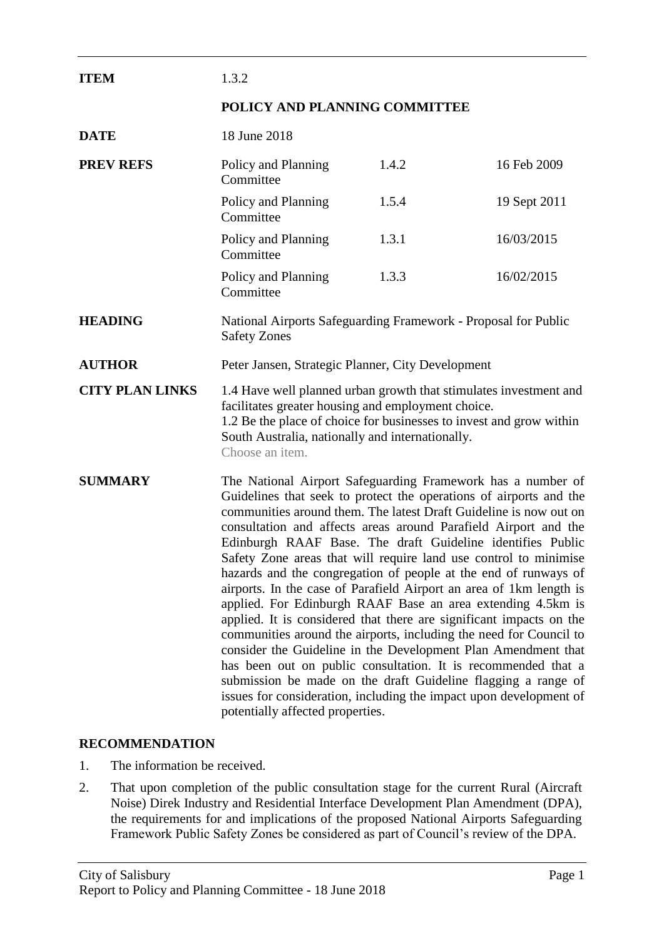| <b>ITEM</b>            | 1.3.2                                                                                                                                                                                                                                                                                                                                                                                                                                                                                                                                                                                                                                                                                                                                                                                                                                                                                                                                                                                                                                                                          |       |              |
|------------------------|--------------------------------------------------------------------------------------------------------------------------------------------------------------------------------------------------------------------------------------------------------------------------------------------------------------------------------------------------------------------------------------------------------------------------------------------------------------------------------------------------------------------------------------------------------------------------------------------------------------------------------------------------------------------------------------------------------------------------------------------------------------------------------------------------------------------------------------------------------------------------------------------------------------------------------------------------------------------------------------------------------------------------------------------------------------------------------|-------|--------------|
|                        | POLICY AND PLANNING COMMITTEE                                                                                                                                                                                                                                                                                                                                                                                                                                                                                                                                                                                                                                                                                                                                                                                                                                                                                                                                                                                                                                                  |       |              |
| <b>DATE</b>            | 18 June 2018                                                                                                                                                                                                                                                                                                                                                                                                                                                                                                                                                                                                                                                                                                                                                                                                                                                                                                                                                                                                                                                                   |       |              |
| <b>PREV REFS</b>       | Policy and Planning<br>Committee                                                                                                                                                                                                                                                                                                                                                                                                                                                                                                                                                                                                                                                                                                                                                                                                                                                                                                                                                                                                                                               | 1.4.2 | 16 Feb 2009  |
|                        | Policy and Planning<br>Committee                                                                                                                                                                                                                                                                                                                                                                                                                                                                                                                                                                                                                                                                                                                                                                                                                                                                                                                                                                                                                                               | 1.5.4 | 19 Sept 2011 |
|                        | Policy and Planning<br>Committee                                                                                                                                                                                                                                                                                                                                                                                                                                                                                                                                                                                                                                                                                                                                                                                                                                                                                                                                                                                                                                               | 1.3.1 | 16/03/2015   |
|                        | Policy and Planning<br>Committee                                                                                                                                                                                                                                                                                                                                                                                                                                                                                                                                                                                                                                                                                                                                                                                                                                                                                                                                                                                                                                               | 1.3.3 | 16/02/2015   |
| <b>HEADING</b>         | National Airports Safeguarding Framework - Proposal for Public<br><b>Safety Zones</b>                                                                                                                                                                                                                                                                                                                                                                                                                                                                                                                                                                                                                                                                                                                                                                                                                                                                                                                                                                                          |       |              |
| <b>AUTHOR</b>          | Peter Jansen, Strategic Planner, City Development                                                                                                                                                                                                                                                                                                                                                                                                                                                                                                                                                                                                                                                                                                                                                                                                                                                                                                                                                                                                                              |       |              |
| <b>CITY PLAN LINKS</b> | 1.4 Have well planned urban growth that stimulates investment and<br>facilitates greater housing and employment choice.<br>1.2 Be the place of choice for businesses to invest and grow within<br>South Australia, nationally and internationally.<br>Choose an item.                                                                                                                                                                                                                                                                                                                                                                                                                                                                                                                                                                                                                                                                                                                                                                                                          |       |              |
| <b>SUMMARY</b>         | The National Airport Safeguarding Framework has a number of<br>Guidelines that seek to protect the operations of airports and the<br>communities around them. The latest Draft Guideline is now out on<br>consultation and affects areas around Parafield Airport and the<br>Edinburgh RAAF Base. The draft Guideline identifies Public<br>Safety Zone areas that will require land use control to minimise<br>hazards and the congregation of people at the end of runways of<br>airports. In the case of Parafield Airport an area of 1km length is<br>applied. For Edinburgh RAAF Base an area extending 4.5km is<br>applied. It is considered that there are significant impacts on the<br>communities around the airports, including the need for Council to<br>consider the Guideline in the Development Plan Amendment that<br>has been out on public consultation. It is recommended that a<br>submission be made on the draft Guideline flagging a range of<br>issues for consideration, including the impact upon development of<br>potentially affected properties. |       |              |

# **RECOMMENDATION**

- 1. The information be received.
- 2. That upon completion of the public consultation stage for the current Rural (Aircraft Noise) Direk Industry and Residential Interface Development Plan Amendment (DPA), the requirements for and implications of the proposed National Airports Safeguarding Framework Public Safety Zones be considered as part of Council's review of the DPA.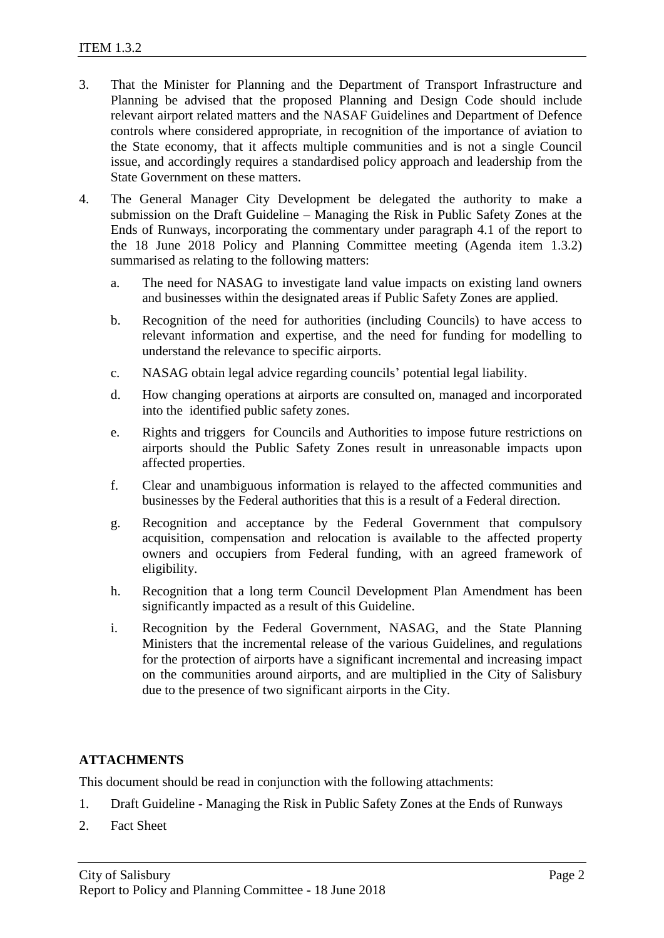- 3. That the Minister for Planning and the Department of Transport Infrastructure and Planning be advised that the proposed Planning and Design Code should include relevant airport related matters and the NASAF Guidelines and Department of Defence controls where considered appropriate, in recognition of the importance of aviation to the State economy, that it affects multiple communities and is not a single Council issue, and accordingly requires a standardised policy approach and leadership from the State Government on these matters.
- 4. The General Manager City Development be delegated the authority to make a submission on the Draft Guideline – Managing the Risk in Public Safety Zones at the Ends of Runways, incorporating the commentary under paragraph 4.1 of the report to the 18 June 2018 Policy and Planning Committee meeting (Agenda item 1.3.2) summarised as relating to the following matters:
	- a. The need for NASAG to investigate land value impacts on existing land owners and businesses within the designated areas if Public Safety Zones are applied.
	- b. Recognition of the need for authorities (including Councils) to have access to relevant information and expertise, and the need for funding for modelling to understand the relevance to specific airports.
	- c. NASAG obtain legal advice regarding councils' potential legal liability.
	- d. How changing operations at airports are consulted on, managed and incorporated into the identified public safety zones.
	- e. Rights and triggers for Councils and Authorities to impose future restrictions on airports should the Public Safety Zones result in unreasonable impacts upon affected properties.
	- f. Clear and unambiguous information is relayed to the affected communities and businesses by the Federal authorities that this is a result of a Federal direction.
	- g. Recognition and acceptance by the Federal Government that compulsory acquisition, compensation and relocation is available to the affected property owners and occupiers from Federal funding, with an agreed framework of eligibility.
	- h. Recognition that a long term Council Development Plan Amendment has been significantly impacted as a result of this Guideline.
	- i. Recognition by the Federal Government, NASAG, and the State Planning Ministers that the incremental release of the various Guidelines, and regulations for the protection of airports have a significant incremental and increasing impact on the communities around airports, and are multiplied in the City of Salisbury due to the presence of two significant airports in the City.

# **ATTACHMENTS**

This document should be read in conjunction with the following attachments:

- 1. Draft Guideline Managing the Risk in Public Safety Zones at the Ends of Runways
- 2. Fact Sheet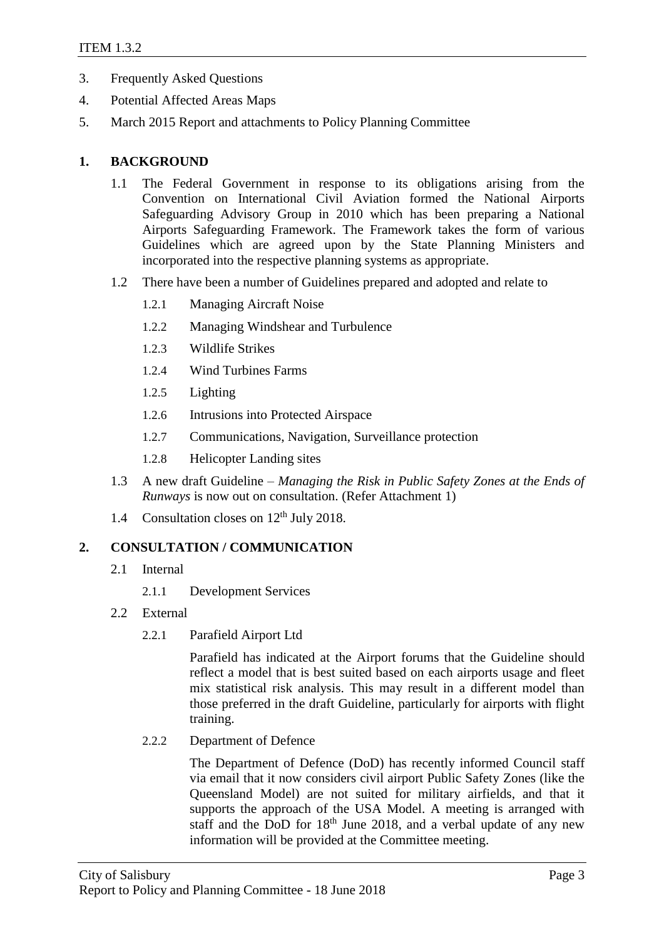- 3. Frequently Asked Questions
- 4. Potential Affected Areas Maps
- 5. March 2015 Report and attachments to Policy Planning Committee

### **1. BACKGROUND**

- 1.1 The Federal Government in response to its obligations arising from the Convention on International Civil Aviation formed the National Airports Safeguarding Advisory Group in 2010 which has been preparing a National Airports Safeguarding Framework. The Framework takes the form of various Guidelines which are agreed upon by the State Planning Ministers and incorporated into the respective planning systems as appropriate.
- 1.2 There have been a number of Guidelines prepared and adopted and relate to
	- 1.2.1 Managing Aircraft Noise
	- 1.2.2 Managing Windshear and Turbulence
	- 1.2.3 Wildlife Strikes
	- 1.2.4 Wind Turbines Farms
	- 1.2.5 Lighting
	- 1.2.6 Intrusions into Protected Airspace
	- 1.2.7 Communications, Navigation, Surveillance protection
	- 1.2.8 Helicopter Landing sites
- 1.3 A new draft Guideline *Managing the Risk in Public Safety Zones at the Ends of Runways* is now out on consultation. (Refer Attachment 1)
- 1.4 Consultation closes on  $12<sup>th</sup>$  July 2018.

# **2. CONSULTATION / COMMUNICATION**

- 2.1 Internal
	- 2.1.1 Development Services
- 2.2 External
	- 2.2.1 Parafield Airport Ltd

Parafield has indicated at the Airport forums that the Guideline should reflect a model that is best suited based on each airports usage and fleet mix statistical risk analysis. This may result in a different model than those preferred in the draft Guideline, particularly for airports with flight training.

2.2.2 Department of Defence

The Department of Defence (DoD) has recently informed Council staff via email that it now considers civil airport Public Safety Zones (like the Queensland Model) are not suited for military airfields, and that it supports the approach of the USA Model. A meeting is arranged with staff and the DoD for  $18<sup>th</sup>$  June 2018, and a verbal update of any new information will be provided at the Committee meeting.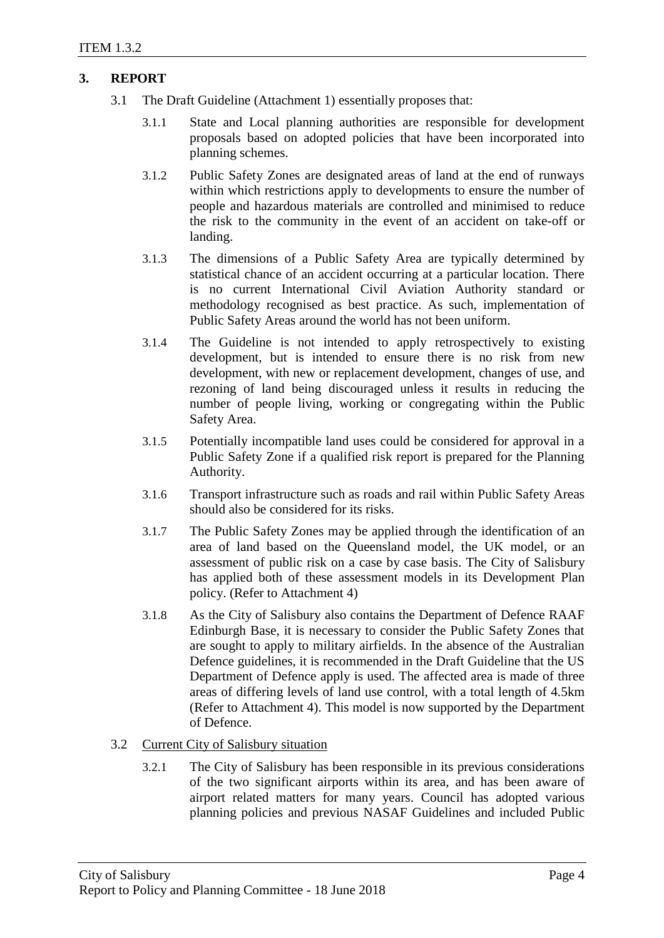# **3. REPORT**

- 3.1 The Draft Guideline (Attachment 1) essentially proposes that:
	- 3.1.1 State and Local planning authorities are responsible for development proposals based on adopted policies that have been incorporated into planning schemes.
	- 3.1.2 Public Safety Zones are designated areas of land at the end of runways within which restrictions apply to developments to ensure the number of people and hazardous materials are controlled and minimised to reduce the risk to the community in the event of an accident on take-off or landing.
	- 3.1.3 The dimensions of a Public Safety Area are typically determined by statistical chance of an accident occurring at a particular location. There is no current International Civil Aviation Authority standard or methodology recognised as best practice. As such, implementation of Public Safety Areas around the world has not been uniform.
	- 3.1.4 The Guideline is not intended to apply retrospectively to existing development, but is intended to ensure there is no risk from new development, with new or replacement development, changes of use, and rezoning of land being discouraged unless it results in reducing the number of people living, working or congregating within the Public Safety Area.
	- 3.1.5 Potentially incompatible land uses could be considered for approval in a Public Safety Zone if a qualified risk report is prepared for the Planning Authority.
	- 3.1.6 Transport infrastructure such as roads and rail within Public Safety Areas should also be considered for its risks.
	- 3.1.7 The Public Safety Zones may be applied through the identification of an area of land based on the Queensland model, the UK model, or an assessment of public risk on a case by case basis. The City of Salisbury has applied both of these assessment models in its Development Plan policy. (Refer to Attachment 4)
	- 3.1.8 As the City of Salisbury also contains the Department of Defence RAAF Edinburgh Base, it is necessary to consider the Public Safety Zones that are sought to apply to military airfields. In the absence of the Australian Defence guidelines, it is recommended in the Draft Guideline that the US Department of Defence apply is used. The affected area is made of three areas of differing levels of land use control, with a total length of 4.5km (Refer to Attachment 4). This model is now supported by the Department of Defence.
- 3.2 Current City of Salisbury situation
	- 3.2.1 The City of Salisbury has been responsible in its previous considerations of the two significant airports within its area, and has been aware of airport related matters for many years. Council has adopted various planning policies and previous NASAF Guidelines and included Public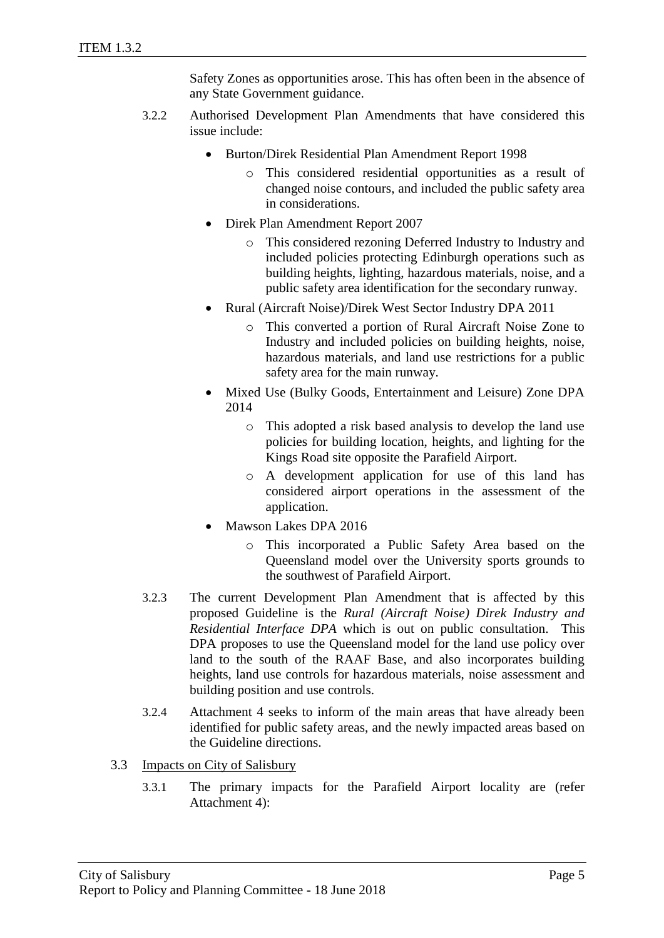Safety Zones as opportunities arose. This has often been in the absence of any State Government guidance.

- 3.2.2 Authorised Development Plan Amendments that have considered this issue include:
	- Burton/Direk Residential Plan Amendment Report 1998
		- o This considered residential opportunities as a result of changed noise contours, and included the public safety area in considerations.
	- Direk Plan Amendment Report 2007
		- o This considered rezoning Deferred Industry to Industry and included policies protecting Edinburgh operations such as building heights, lighting, hazardous materials, noise, and a public safety area identification for the secondary runway.
	- Rural (Aircraft Noise)/Direk West Sector Industry DPA 2011
		- o This converted a portion of Rural Aircraft Noise Zone to Industry and included policies on building heights, noise, hazardous materials, and land use restrictions for a public safety area for the main runway.
	- Mixed Use (Bulky Goods, Entertainment and Leisure) Zone DPA 2014
		- o This adopted a risk based analysis to develop the land use policies for building location, heights, and lighting for the Kings Road site opposite the Parafield Airport.
		- o A development application for use of this land has considered airport operations in the assessment of the application.
	- Mawson Lakes DPA 2016
		- o This incorporated a Public Safety Area based on the Queensland model over the University sports grounds to the southwest of Parafield Airport.
- 3.2.3 The current Development Plan Amendment that is affected by this proposed Guideline is the *Rural (Aircraft Noise) Direk Industry and Residential Interface DPA* which is out on public consultation. This DPA proposes to use the Queensland model for the land use policy over land to the south of the RAAF Base, and also incorporates building heights, land use controls for hazardous materials, noise assessment and building position and use controls.
- 3.2.4 Attachment 4 seeks to inform of the main areas that have already been identified for public safety areas, and the newly impacted areas based on the Guideline directions.
- 3.3 Impacts on City of Salisbury
	- 3.3.1 The primary impacts for the Parafield Airport locality are (refer Attachment 4):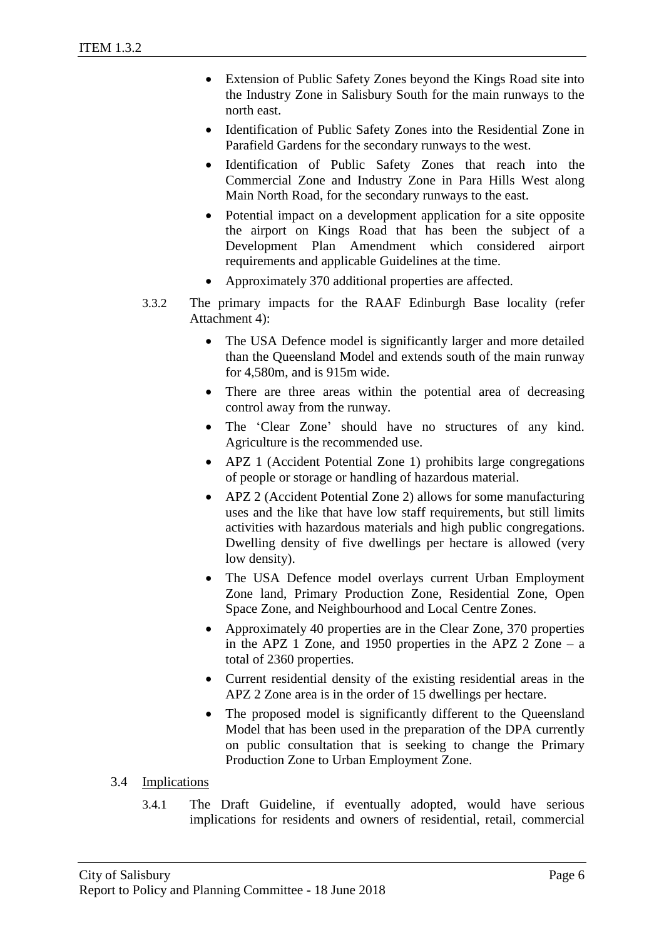- Extension of Public Safety Zones beyond the Kings Road site into the Industry Zone in Salisbury South for the main runways to the north east.
- Identification of Public Safety Zones into the Residential Zone in Parafield Gardens for the secondary runways to the west.
- Identification of Public Safety Zones that reach into the Commercial Zone and Industry Zone in Para Hills West along Main North Road, for the secondary runways to the east.
- Potential impact on a development application for a site opposite the airport on Kings Road that has been the subject of a Development Plan Amendment which considered airport requirements and applicable Guidelines at the time.
- Approximately 370 additional properties are affected.
- 3.3.2 The primary impacts for the RAAF Edinburgh Base locality (refer Attachment 4):
	- The USA Defence model is significantly larger and more detailed than the Queensland Model and extends south of the main runway for 4,580m, and is 915m wide.
	- There are three areas within the potential area of decreasing control away from the runway.
	- The 'Clear Zone' should have no structures of any kind. Agriculture is the recommended use.
	- APZ 1 (Accident Potential Zone 1) prohibits large congregations of people or storage or handling of hazardous material.
	- APZ 2 (Accident Potential Zone 2) allows for some manufacturing uses and the like that have low staff requirements, but still limits activities with hazardous materials and high public congregations. Dwelling density of five dwellings per hectare is allowed (very low density).
	- The USA Defence model overlays current Urban Employment Zone land, Primary Production Zone, Residential Zone, Open Space Zone, and Neighbourhood and Local Centre Zones.
	- Approximately 40 properties are in the Clear Zone, 370 properties in the APZ 1 Zone, and 1950 properties in the APZ 2 Zone – a total of 2360 properties.
	- Current residential density of the existing residential areas in the APZ 2 Zone area is in the order of 15 dwellings per hectare.
	- The proposed model is significantly different to the Queensland Model that has been used in the preparation of the DPA currently on public consultation that is seeking to change the Primary Production Zone to Urban Employment Zone.
- 3.4 Implications
	- 3.4.1 The Draft Guideline, if eventually adopted, would have serious implications for residents and owners of residential, retail, commercial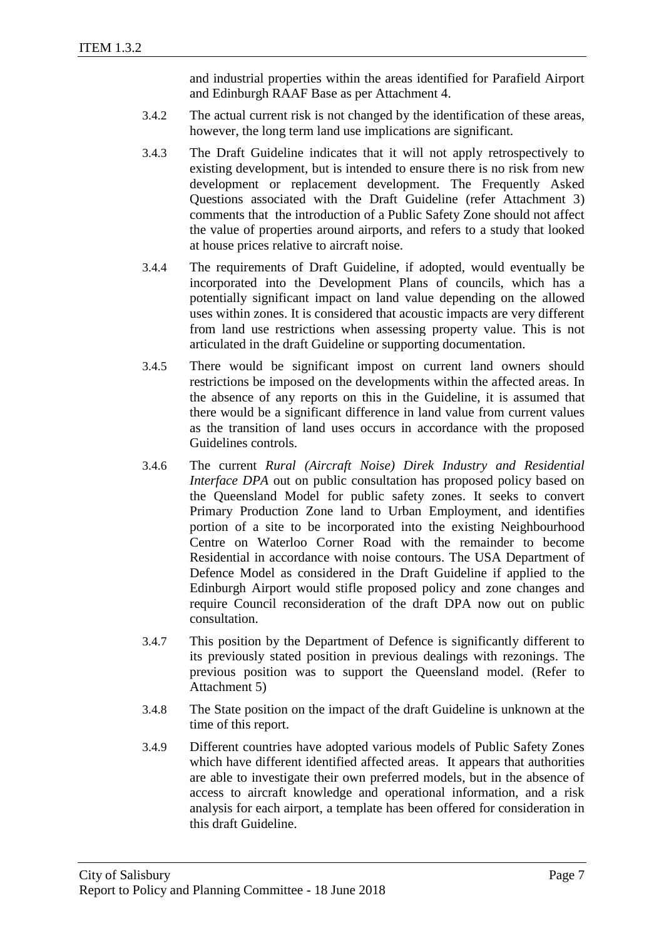and industrial properties within the areas identified for Parafield Airport and Edinburgh RAAF Base as per Attachment 4.

- 3.4.2 The actual current risk is not changed by the identification of these areas, however, the long term land use implications are significant.
- 3.4.3 The Draft Guideline indicates that it will not apply retrospectively to existing development, but is intended to ensure there is no risk from new development or replacement development. The Frequently Asked Questions associated with the Draft Guideline (refer Attachment 3) comments that the introduction of a Public Safety Zone should not affect the value of properties around airports, and refers to a study that looked at house prices relative to aircraft noise.
- 3.4.4 The requirements of Draft Guideline, if adopted, would eventually be incorporated into the Development Plans of councils, which has a potentially significant impact on land value depending on the allowed uses within zones. It is considered that acoustic impacts are very different from land use restrictions when assessing property value. This is not articulated in the draft Guideline or supporting documentation.
- 3.4.5 There would be significant impost on current land owners should restrictions be imposed on the developments within the affected areas. In the absence of any reports on this in the Guideline, it is assumed that there would be a significant difference in land value from current values as the transition of land uses occurs in accordance with the proposed Guidelines controls.
- 3.4.6 The current *Rural (Aircraft Noise) Direk Industry and Residential Interface DPA* out on public consultation has proposed policy based on the Queensland Model for public safety zones. It seeks to convert Primary Production Zone land to Urban Employment, and identifies portion of a site to be incorporated into the existing Neighbourhood Centre on Waterloo Corner Road with the remainder to become Residential in accordance with noise contours. The USA Department of Defence Model as considered in the Draft Guideline if applied to the Edinburgh Airport would stifle proposed policy and zone changes and require Council reconsideration of the draft DPA now out on public consultation.
- 3.4.7 This position by the Department of Defence is significantly different to its previously stated position in previous dealings with rezonings. The previous position was to support the Queensland model. (Refer to Attachment 5)
- 3.4.8 The State position on the impact of the draft Guideline is unknown at the time of this report.
- 3.4.9 Different countries have adopted various models of Public Safety Zones which have different identified affected areas. It appears that authorities are able to investigate their own preferred models, but in the absence of access to aircraft knowledge and operational information, and a risk analysis for each airport, a template has been offered for consideration in this draft Guideline.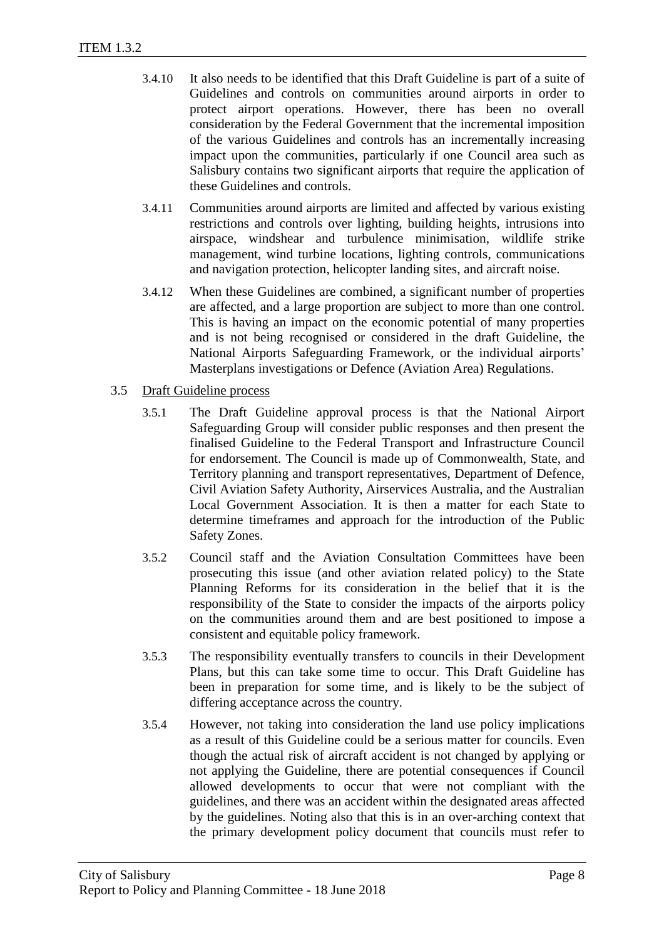- 3.4.10 It also needs to be identified that this Draft Guideline is part of a suite of Guidelines and controls on communities around airports in order to protect airport operations. However, there has been no overall consideration by the Federal Government that the incremental imposition of the various Guidelines and controls has an incrementally increasing impact upon the communities, particularly if one Council area such as Salisbury contains two significant airports that require the application of these Guidelines and controls.
- 3.4.11 Communities around airports are limited and affected by various existing restrictions and controls over lighting, building heights, intrusions into airspace, windshear and turbulence minimisation, wildlife strike management, wind turbine locations, lighting controls, communications and navigation protection, helicopter landing sites, and aircraft noise.
- 3.4.12 When these Guidelines are combined, a significant number of properties are affected, and a large proportion are subject to more than one control. This is having an impact on the economic potential of many properties and is not being recognised or considered in the draft Guideline, the National Airports Safeguarding Framework, or the individual airports' Masterplans investigations or Defence (Aviation Area) Regulations.
- 3.5 Draft Guideline process
	- 3.5.1 The Draft Guideline approval process is that the National Airport Safeguarding Group will consider public responses and then present the finalised Guideline to the Federal Transport and Infrastructure Council for endorsement. The Council is made up of Commonwealth, State, and Territory planning and transport representatives, Department of Defence, Civil Aviation Safety Authority, Airservices Australia, and the Australian Local Government Association. It is then a matter for each State to determine timeframes and approach for the introduction of the Public Safety Zones.
	- 3.5.2 Council staff and the Aviation Consultation Committees have been prosecuting this issue (and other aviation related policy) to the State Planning Reforms for its consideration in the belief that it is the responsibility of the State to consider the impacts of the airports policy on the communities around them and are best positioned to impose a consistent and equitable policy framework.
	- 3.5.3 The responsibility eventually transfers to councils in their Development Plans, but this can take some time to occur. This Draft Guideline has been in preparation for some time, and is likely to be the subject of differing acceptance across the country.
	- 3.5.4 However, not taking into consideration the land use policy implications as a result of this Guideline could be a serious matter for councils. Even though the actual risk of aircraft accident is not changed by applying or not applying the Guideline, there are potential consequences if Council allowed developments to occur that were not compliant with the guidelines, and there was an accident within the designated areas affected by the guidelines. Noting also that this is in an over-arching context that the primary development policy document that councils must refer to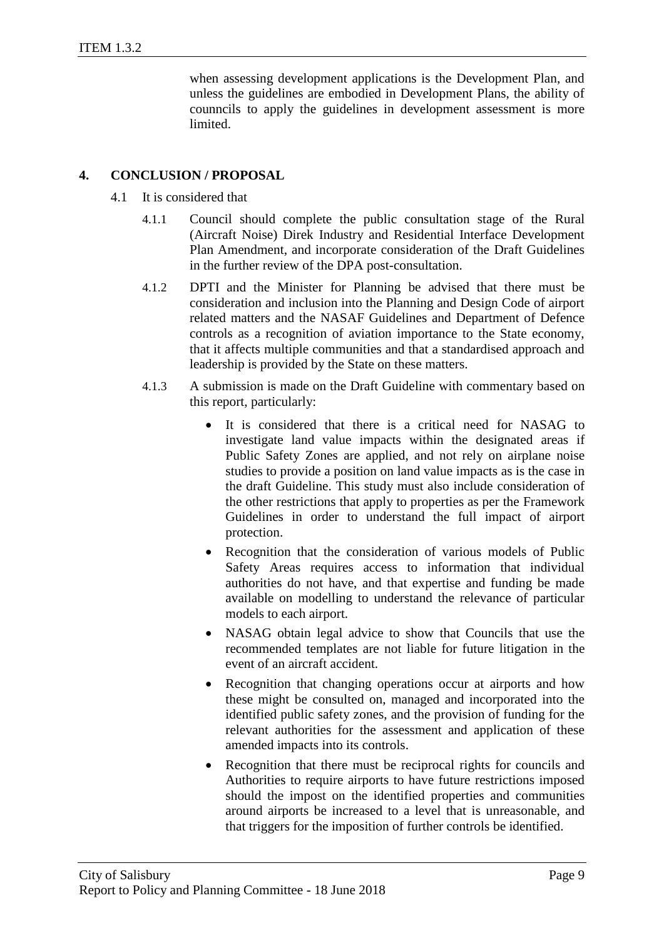when assessing development applications is the Development Plan, and unless the guidelines are embodied in Development Plans, the ability of counncils to apply the guidelines in development assessment is more limited.

# **4. CONCLUSION / PROPOSAL**

- 4.1 It is considered that
	- 4.1.1 Council should complete the public consultation stage of the Rural (Aircraft Noise) Direk Industry and Residential Interface Development Plan Amendment, and incorporate consideration of the Draft Guidelines in the further review of the DPA post-consultation.
	- 4.1.2 DPTI and the Minister for Planning be advised that there must be consideration and inclusion into the Planning and Design Code of airport related matters and the NASAF Guidelines and Department of Defence controls as a recognition of aviation importance to the State economy, that it affects multiple communities and that a standardised approach and leadership is provided by the State on these matters.
	- 4.1.3 A submission is made on the Draft Guideline with commentary based on this report, particularly:
		- It is considered that there is a critical need for NASAG to investigate land value impacts within the designated areas if Public Safety Zones are applied, and not rely on airplane noise studies to provide a position on land value impacts as is the case in the draft Guideline. This study must also include consideration of the other restrictions that apply to properties as per the Framework Guidelines in order to understand the full impact of airport protection.
		- Recognition that the consideration of various models of Public Safety Areas requires access to information that individual authorities do not have, and that expertise and funding be made available on modelling to understand the relevance of particular models to each airport.
		- NASAG obtain legal advice to show that Councils that use the recommended templates are not liable for future litigation in the event of an aircraft accident.
		- Recognition that changing operations occur at airports and how these might be consulted on, managed and incorporated into the identified public safety zones, and the provision of funding for the relevant authorities for the assessment and application of these amended impacts into its controls.
		- Recognition that there must be reciprocal rights for councils and Authorities to require airports to have future restrictions imposed should the impost on the identified properties and communities around airports be increased to a level that is unreasonable, and that triggers for the imposition of further controls be identified.